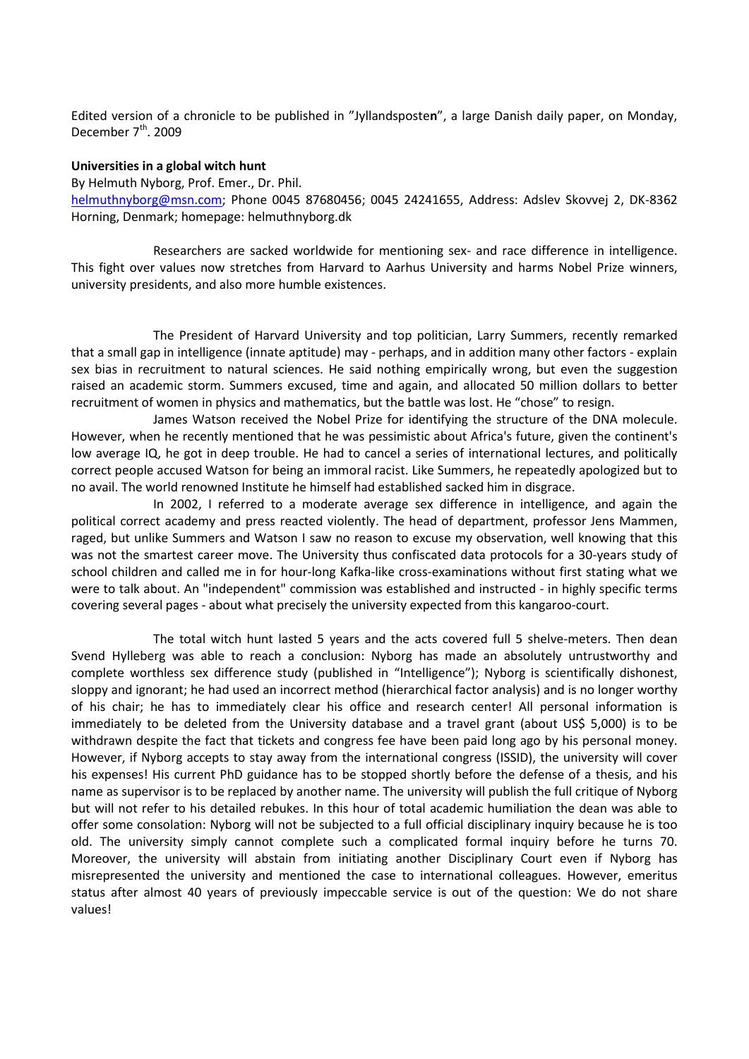Edited version of a chronicle to be published in "Jyllandsposte**n**", a large Danish daily paper, on Monday, December 7<sup>th</sup>. 2009

## **Universities in a global witch hunt**

By Helmuth Nyborg, Prof. Emer., Dr. Phil.

[helmuthnyborg@msn.com;](mailto:helmuthnyborg@msn.com) Phone 0045 87680456; 0045 24241655, Address: Adslev Skovvej 2, DK-8362 Horning, Denmark; homepage: helmuthnyborg.dk

Researchers are sacked worldwide for mentioning sex- and race difference in intelligence. This fight over values now stretches from Harvard to Aarhus University and harms Nobel Prize winners, university presidents, and also more humble existences.

The President of Harvard University and top politician, Larry Summers, recently remarked that a small gap in intelligence (innate aptitude) may - perhaps, and in addition many other factors - explain sex bias in recruitment to natural sciences. He said nothing empirically wrong, but even the suggestion raised an academic storm. Summers excused, time and again, and allocated 50 million dollars to better recruitment of women in physics and mathematics, but the battle was lost. He "chose" to resign.

James Watson received the Nobel Prize for identifying the structure of the DNA molecule. However, when he recently mentioned that he was pessimistic about Africa's future, given the continent's low average IQ, he got in deep trouble. He had to cancel a series of international lectures, and politically correct people accused Watson for being an immoral racist. Like Summers, he repeatedly apologized but to no avail. The world renowned Institute he himself had established sacked him in disgrace.

In 2002, I referred to a moderate average sex difference in intelligence, and again the political correct academy and press reacted violently. The head of department, professor Jens Mammen, raged, but unlike Summers and Watson I saw no reason to excuse my observation, well knowing that this was not the smartest career move. The University thus confiscated data protocols for a 30-years study of school children and called me in for hour-long Kafka-like cross-examinations without first stating what we were to talk about. An "independent" commission was established and instructed - in highly specific terms covering several pages - about what precisely the university expected from this kangaroo-court.

The total witch hunt lasted 5 years and the acts covered full 5 shelve-meters. Then dean Svend Hylleberg was able to reach a conclusion: Nyborg has made an absolutely untrustworthy and complete worthless sex difference study (published in "Intelligence"); Nyborg is scientifically dishonest, sloppy and ignorant; he had used an incorrect method (hierarchical factor analysis) and is no longer worthy of his chair; he has to immediately clear his office and research center! All personal information is immediately to be deleted from the University database and a travel grant (about US\$ 5,000) is to be withdrawn despite the fact that tickets and congress fee have been paid long ago by his personal money. However, if Nyborg accepts to stay away from the international congress (ISSID), the university will cover his expenses! His current PhD guidance has to be stopped shortly before the defense of a thesis, and his name as supervisor is to be replaced by another name. The university will publish the full critique of Nyborg but will not refer to his detailed rebukes. In this hour of total academic humiliation the dean was able to offer some consolation: Nyborg will not be subjected to a full official disciplinary inquiry because he is too old. The university simply cannot complete such a complicated formal inquiry before he turns 70. Moreover, the university will abstain from initiating another Disciplinary Court even if Nyborg has misrepresented the university and mentioned the case to international colleagues. However, emeritus status after almost 40 years of previously impeccable service is out of the question: We do not share values!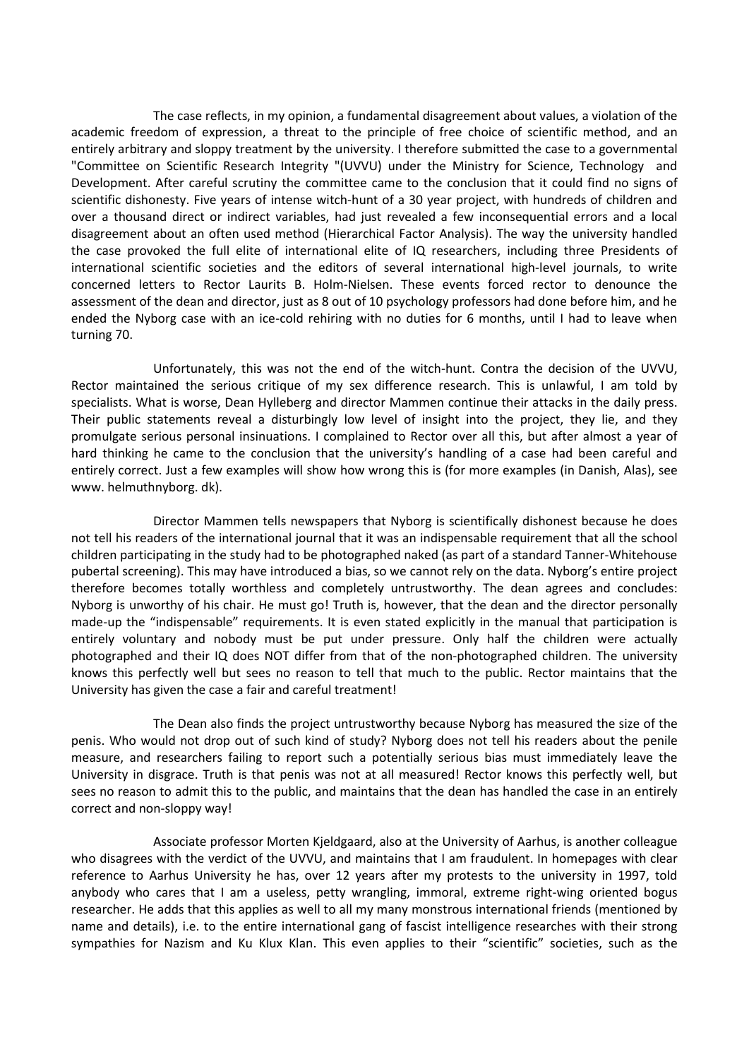The case reflects, in my opinion, a fundamental disagreement about values, a violation of the academic freedom of expression, a threat to the principle of free choice of scientific method, and an entirely arbitrary and sloppy treatment by the university. I therefore submitted the case to a governmental "Committee on Scientific Research Integrity "(UVVU) under the Ministry for Science, Technology and Development. After careful scrutiny the committee came to the conclusion that it could find no signs of scientific dishonesty. Five years of intense witch-hunt of a 30 year project, with hundreds of children and over a thousand direct or indirect variables, had just revealed a few inconsequential errors and a local disagreement about an often used method (Hierarchical Factor Analysis). The way the university handled the case provoked the full elite of international elite of IQ researchers, including three Presidents of international scientific societies and the editors of several international high-level journals, to write concerned letters to Rector Laurits B. Holm-Nielsen. These events forced rector to denounce the assessment of the dean and director, just as 8 out of 10 psychology professors had done before him, and he ended the Nyborg case with an ice-cold rehiring with no duties for 6 months, until I had to leave when turning 70.

Unfortunately, this was not the end of the witch-hunt. Contra the decision of the UVVU, Rector maintained the serious critique of my sex difference research. This is unlawful, I am told by specialists. What is worse, Dean Hylleberg and director Mammen continue their attacks in the daily press. Their public statements reveal a disturbingly low level of insight into the project, they lie, and they promulgate serious personal insinuations. I complained to Rector over all this, but after almost a year of hard thinking he came to the conclusion that the university's handling of a case had been careful and entirely correct. Just a few examples will show how wrong this is (for more examples (in Danish, Alas), see www. helmuthnyborg. dk).

Director Mammen tells newspapers that Nyborg is scientifically dishonest because he does not tell his readers of the international journal that it was an indispensable requirement that all the school children participating in the study had to be photographed naked (as part of a standard Tanner-Whitehouse pubertal screening). This may have introduced a bias, so we cannot rely on the data. Nyborg's entire project therefore becomes totally worthless and completely untrustworthy. The dean agrees and concludes: Nyborg is unworthy of his chair. He must go! Truth is, however, that the dean and the director personally made-up the "indispensable" requirements. It is even stated explicitly in the manual that participation is entirely voluntary and nobody must be put under pressure. Only half the children were actually photographed and their IQ does NOT differ from that of the non-photographed children. The university knows this perfectly well but sees no reason to tell that much to the public. Rector maintains that the University has given the case a fair and careful treatment!

The Dean also finds the project untrustworthy because Nyborg has measured the size of the penis. Who would not drop out of such kind of study? Nyborg does not tell his readers about the penile measure, and researchers failing to report such a potentially serious bias must immediately leave the University in disgrace. Truth is that penis was not at all measured! Rector knows this perfectly well, but sees no reason to admit this to the public, and maintains that the dean has handled the case in an entirely correct and non-sloppy way!

Associate professor Morten Kjeldgaard, also at the University of Aarhus, is another colleague who disagrees with the verdict of the UVVU, and maintains that I am fraudulent. In homepages with clear reference to Aarhus University he has, over 12 years after my protests to the university in 1997, told anybody who cares that I am a useless, petty wrangling, immoral, extreme right-wing oriented bogus researcher. He adds that this applies as well to all my many monstrous international friends (mentioned by name and details), i.e. to the entire international gang of fascist intelligence researches with their strong sympathies for Nazism and Ku Klux Klan. This even applies to their "scientific" societies, such as the